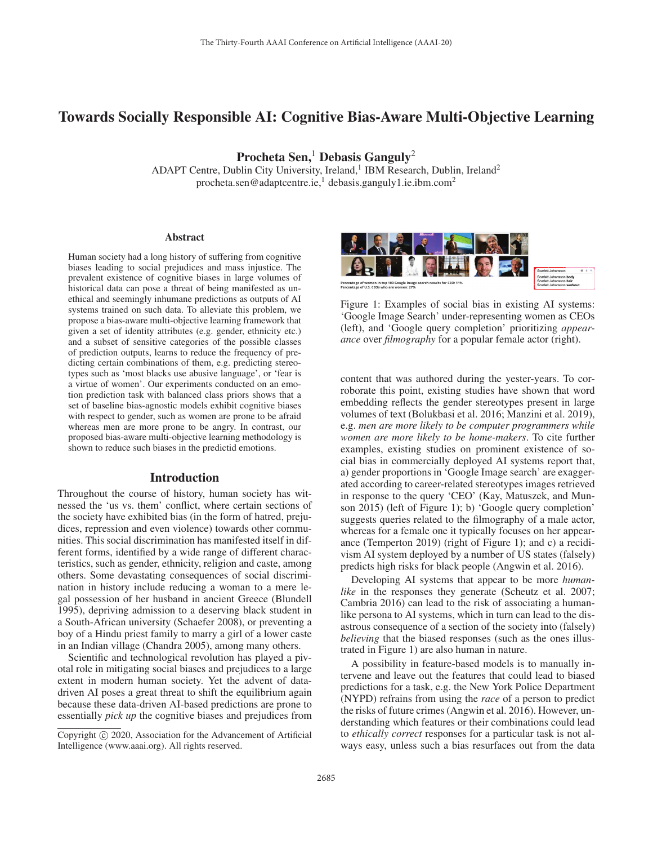# Towards Socially Responsible AI: Cognitive Bias-Aware Multi-Objective Learning

Procheta Sen,<sup>1</sup> Debasis Ganguly<sup>2</sup>

ADAPT Centre, Dublin City University, Ireland,<sup>1</sup> IBM Research, Dublin, Ireland<sup>2</sup> procheta.sen@adaptcentre.ie,<sup>1</sup> debasis.ganguly1.ie.ibm.com<sup>2</sup>

#### **Abstract**

Human society had a long history of suffering from cognitive biases leading to social prejudices and mass injustice. The prevalent existence of cognitive biases in large volumes of historical data can pose a threat of being manifested as unethical and seemingly inhumane predictions as outputs of AI systems trained on such data. To alleviate this problem, we propose a bias-aware multi-objective learning framework that given a set of identity attributes (e.g. gender, ethnicity etc.) and a subset of sensitive categories of the possible classes of prediction outputs, learns to reduce the frequency of predicting certain combinations of them, e.g. predicting stereotypes such as 'most blacks use abusive language', or 'fear is a virtue of women'. Our experiments conducted on an emotion prediction task with balanced class priors shows that a set of baseline bias-agnostic models exhibit cognitive biases with respect to gender, such as women are prone to be afraid whereas men are more prone to be angry. In contrast, our proposed bias-aware multi-objective learning methodology is shown to reduce such biases in the predictid emotions.

#### Introduction

Throughout the course of history, human society has witnessed the 'us vs. them' conflict, where certain sections of the society have exhibited bias (in the form of hatred, prejudices, repression and even violence) towards other communities. This social discrimination has manifested itself in different forms, identified by a wide range of different characteristics, such as gender, ethnicity, religion and caste, among others. Some devastating consequences of social discrimination in history include reducing a woman to a mere legal possession of her husband in ancient Greece (Blundell 1995), depriving admission to a deserving black student in a South-African university (Schaefer 2008), or preventing a boy of a Hindu priest family to marry a girl of a lower caste in an Indian village (Chandra 2005), among many others.

Scientific and technological revolution has played a pivotal role in mitigating social biases and prejudices to a large extent in modern human society. Yet the advent of datadriven AI poses a great threat to shift the equilibrium again because these data-driven AI-based predictions are prone to essentially *pick up* the cognitive biases and prejudices from



Figure 1: Examples of social bias in existing AI systems: 'Google Image Search' under-representing women as CEOs (left), and 'Google query completion' prioritizing *appearance* over *filmography* for a popular female actor (right).

content that was authored during the yester-years. To corroborate this point, existing studies have shown that word embedding reflects the gender stereotypes present in large volumes of text (Bolukbasi et al. 2016; Manzini et al. 2019), e.g. *men are more likely to be computer programmers while women are more likely to be home-makers*. To cite further examples, existing studies on prominent existence of social bias in commercially deployed AI systems report that, a) gender proportions in 'Google Image search' are exaggerated according to career-related stereotypes images retrieved in response to the query 'CEO' (Kay, Matuszek, and Munson 2015) (left of Figure 1); b) 'Google query completion' suggests queries related to the filmography of a male actor, whereas for a female one it typically focuses on her appearance (Temperton 2019) (right of Figure 1); and c) a recidivism AI system deployed by a number of US states (falsely) predicts high risks for black people (Angwin et al. 2016).

Developing AI systems that appear to be more *humanlike* in the responses they generate (Scheutz et al. 2007; Cambria 2016) can lead to the risk of associating a humanlike persona to AI systems, which in turn can lead to the disastrous consequence of a section of the society into (falsely) *believing* that the biased responses (such as the ones illustrated in Figure 1) are also human in nature.

A possibility in feature-based models is to manually intervene and leave out the features that could lead to biased predictions for a task, e.g. the New York Police Department (NYPD) refrains from using the *race* of a person to predict the risks of future crimes (Angwin et al. 2016). However, understanding which features or their combinations could lead to *ethically correct* responses for a particular task is not always easy, unless such a bias resurfaces out from the data

Copyright  $\odot$  2020, Association for the Advancement of Artificial Intelligence (www.aaai.org). All rights reserved.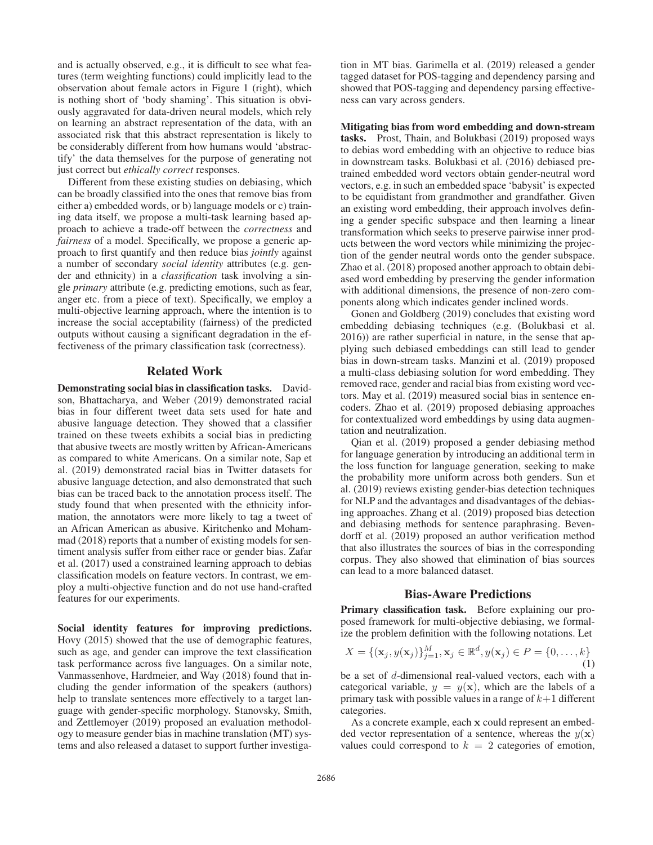and is actually observed, e.g., it is difficult to see what features (term weighting functions) could implicitly lead to the observation about female actors in Figure 1 (right), which is nothing short of 'body shaming'. This situation is obviously aggravated for data-driven neural models, which rely on learning an abstract representation of the data, with an associated risk that this abstract representation is likely to be considerably different from how humans would 'abstractify' the data themselves for the purpose of generating not just correct but *ethically correct* responses.

Different from these existing studies on debiasing, which can be broadly classified into the ones that remove bias from either a) embedded words, or b) language models or c) training data itself, we propose a multi-task learning based approach to achieve a trade-off between the *correctness* and *fairness* of a model. Specifically, we propose a generic approach to first quantify and then reduce bias *jointly* against a number of secondary *social identity* attributes (e.g. gender and ethnicity) in a *classification* task involving a single *primary* attribute (e.g. predicting emotions, such as fear, anger etc. from a piece of text). Specifically, we employ a multi-objective learning approach, where the intention is to increase the social acceptability (fairness) of the predicted outputs without causing a significant degradation in the effectiveness of the primary classification task (correctness).

# Related Work

Demonstrating social bias in classification tasks. Davidson, Bhattacharya, and Weber (2019) demonstrated racial bias in four different tweet data sets used for hate and abusive language detection. They showed that a classifier trained on these tweets exhibits a social bias in predicting that abusive tweets are mostly written by African-Americans as compared to white Americans. On a similar note, Sap et al. (2019) demonstrated racial bias in Twitter datasets for abusive language detection, and also demonstrated that such bias can be traced back to the annotation process itself. The study found that when presented with the ethnicity information, the annotators were more likely to tag a tweet of an African American as abusive. Kiritchenko and Mohammad (2018) reports that a number of existing models for sentiment analysis suffer from either race or gender bias. Zafar et al. (2017) used a constrained learning approach to debias classification models on feature vectors. In contrast, we employ a multi-objective function and do not use hand-crafted features for our experiments.

Social identity features for improving predictions. Hovy (2015) showed that the use of demographic features, such as age, and gender can improve the text classification task performance across five languages. On a similar note, Vanmassenhove, Hardmeier, and Way (2018) found that including the gender information of the speakers (authors) help to translate sentences more effectively to a target language with gender-specific morphology. Stanovsky, Smith, and Zettlemoyer (2019) proposed an evaluation methodology to measure gender bias in machine translation (MT) systems and also released a dataset to support further investiga-

tion in MT bias. Garimella et al. (2019) released a gender tagged dataset for POS-tagging and dependency parsing and showed that POS-tagging and dependency parsing effectiveness can vary across genders.

Mitigating bias from word embedding and down-stream tasks. Prost, Thain, and Bolukbasi (2019) proposed ways to debias word embedding with an objective to reduce bias in downstream tasks. Bolukbasi et al. (2016) debiased pretrained embedded word vectors obtain gender-neutral word vectors, e.g. in such an embedded space 'babysit' is expected to be equidistant from grandmother and grandfather. Given an existing word embedding, their approach involves defining a gender specific subspace and then learning a linear transformation which seeks to preserve pairwise inner products between the word vectors while minimizing the projection of the gender neutral words onto the gender subspace. Zhao et al. (2018) proposed another approach to obtain debiased word embedding by preserving the gender information with additional dimensions, the presence of non-zero components along which indicates gender inclined words.

Gonen and Goldberg (2019) concludes that existing word embedding debiasing techniques (e.g. (Bolukbasi et al. 2016)) are rather superficial in nature, in the sense that applying such debiased embeddings can still lead to gender bias in down-stream tasks. Manzini et al. (2019) proposed a multi-class debiasing solution for word embedding. They removed race, gender and racial bias from existing word vectors. May et al. (2019) measured social bias in sentence encoders. Zhao et al. (2019) proposed debiasing approaches for contextualized word embeddings by using data augmentation and neutralization.

Qian et al. (2019) proposed a gender debiasing method for language generation by introducing an additional term in the loss function for language generation, seeking to make the probability more uniform across both genders. Sun et al. (2019) reviews existing gender-bias detection techniques for NLP and the advantages and disadvantages of the debiasing approaches. Zhang et al. (2019) proposed bias detection and debiasing methods for sentence paraphrasing. Bevendorff et al. (2019) proposed an author verification method that also illustrates the sources of bias in the corresponding corpus. They also showed that elimination of bias sources can lead to a more balanced dataset.

### Bias-Aware Predictions

Primary classification task. Before explaining our proposed framework for multi-objective debiasing, we formalize the problem definition with the following notations. Let

$$
X = \{(\mathbf{x}_j, y(\mathbf{x}_j))\}_{j=1}^M, \mathbf{x}_j \in \mathbb{R}^d, y(\mathbf{x}_j) \in P = \{0, \dots, k\}
$$

$$
\tag{1}
$$

be a set of d-dimensional real-valued vectors, each with a categorical variable,  $y = y(x)$ , which are the labels of a primary task with possible values in a range of  $k+1$  different categories.

As a concrete example, each **x** could represent an embedded vector representation of a sentence, whereas the  $y(x)$ values could correspond to  $k = 2$  categories of emotion,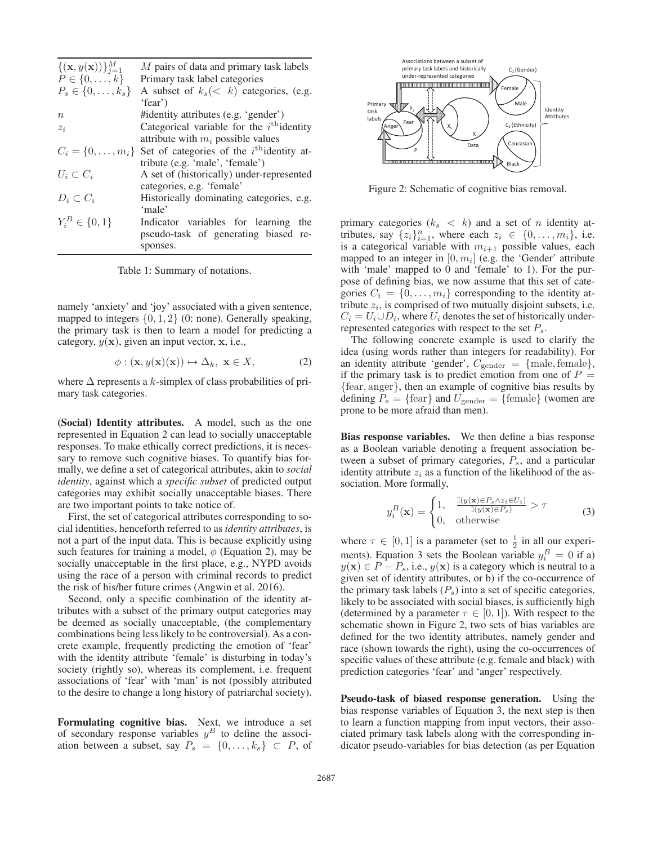| ${(\mathbf{x}, y(\mathbf{x}))}_{i=1}^M$ | M pairs of data and primary task labels               |  |  |  |  |  |  |
|-----------------------------------------|-------------------------------------------------------|--|--|--|--|--|--|
| $P \in \{0,\ldots,k\}$                  | Primary task label categories                         |  |  |  |  |  |  |
| $P_s \in \{0, \ldots, k_s\}$            | A subset of $k_s$ $(k)$ categories, (e.g.             |  |  |  |  |  |  |
|                                         | 'fear')                                               |  |  |  |  |  |  |
| $\boldsymbol{n}$                        | #identity attributes (e.g. 'gender')                  |  |  |  |  |  |  |
| $z_i$                                   | Categorical variable for the $i^{\text{th}}$ identity |  |  |  |  |  |  |
|                                         | attribute with $m_i$ possible values                  |  |  |  |  |  |  |
| $C_i = \{0, \ldots, m_i\}$              | Set of categories of the $i^{\text{th}}$ identity at- |  |  |  |  |  |  |
|                                         | tribute (e.g. 'male', 'female')                       |  |  |  |  |  |  |
| $U_i\subset C_i$                        | A set of (historically) under-represented             |  |  |  |  |  |  |
|                                         | categories, e.g. 'female'                             |  |  |  |  |  |  |
| $D_i\subset C_i$                        | Historically dominating categories, e.g.              |  |  |  |  |  |  |
|                                         | 'male'                                                |  |  |  |  |  |  |
| $Y_i^B \in \{0,1\}$                     | Indicator variables for learning<br>the               |  |  |  |  |  |  |
|                                         | pseudo-task of generating biased re-                  |  |  |  |  |  |  |
|                                         | sponses.                                              |  |  |  |  |  |  |
|                                         |                                                       |  |  |  |  |  |  |

Table 1: Summary of notations.

namely 'anxiety' and 'joy' associated with a given sentence, mapped to integers  $\{0, 1, 2\}$  (0: none). Generally speaking, the primary task is then to learn a model for predicting a category,  $y(x)$ , given an input vector,  $x$ , i.e.,

$$
\phi: (\mathbf{x}, y(\mathbf{x})(\mathbf{x})) \mapsto \Delta_k, \ \mathbf{x} \in X,\tag{2}
$$

where  $\Delta$  represents a k-simplex of class probabilities of primary task categories.

(Social) Identity attributes. A model, such as the one represented in Equation 2 can lead to socially unacceptable responses. To make ethically correct predictions, it is necessary to remove such cognitive biases. To quantify bias formally, we define a set of categorical attributes, akin to *social identity*, against which a *specific subset* of predicted output categories may exhibit socially unacceptable biases. There are two important points to take notice of.

First, the set of categorical attributes corresponding to social identities, henceforth referred to as *identity attributes*, is not a part of the input data. This is because explicitly using such features for training a model,  $\phi$  (Equation 2), may be socially unacceptable in the first place, e.g., NYPD avoids using the race of a person with criminal records to predict the risk of his/her future crimes (Angwin et al. 2016).

Second, only a specific combination of the identity attributes with a subset of the primary output categories may be deemed as socially unacceptable, (the complementary combinations being less likely to be controversial). As a concrete example, frequently predicting the emotion of 'fear' with the identity attribute 'female' is disturbing in today's society (rightly so), whereas its complement, i.e. frequent associations of 'fear' with 'man' is not (possibly attributed to the desire to change a long history of patriarchal society).

Formulating cognitive bias. Next, we introduce a set of secondary response variables  $y^B$  to define the association between a subset, say  $P_s = \{0, \ldots, k_s\} \subset P$ , of



Figure 2: Schematic of cognitive bias removal.

primary categories  $(k_s < k)$  and a set of *n* identity attributes, say  $\{z_i\}_{i=1}^n$ , where each  $z_i \in \{0, \ldots, m_i\}$ , i.e. is a categorical variable with  $m_{i+1}$  possible values, each mapped to an integer in  $[0, m_i]$  (e.g. the 'Gender' attribute with 'male' mapped to 0 and 'female' to 1). For the purpose of defining bias, we now assume that this set of categories  $C_i = \{0, \ldots, m_i\}$  corresponding to the identity attribute  $z_i$ , is comprised of two mutually disjoint subsets, i.e.  $C_i = U_i \cup D_i$ , where  $U_i$  denotes the set of historically underrepresented categories with respect to the set  $P_s$ .

The following concrete example is used to clarify the idea (using words rather than integers for readability). For an identity attribute 'gender',  $C_{\text{gender}} = \{\text{male}, \text{female}\},\$ if the primary task is to predict emotion from one of  $P =$ {fear, anger}, then an example of cognitive bias results by defining  $P_s = \{\text{fear}\}\$  and  $U_{\text{gender}} = \{\text{female}\}\$  (women are prone to be more afraid than men).

Bias response variables. We then define a bias response as a Boolean variable denoting a frequent association between a subset of primary categories,  $P_s$ , and a particular identity attribute  $z_i$  as a function of the likelihood of the association. More formally,

$$
y_i^B(\mathbf{x}) = \begin{cases} 1, & \frac{\mathbb{I}(y(\mathbf{x}) \in P_s \land z_i \in U_i)}{\mathbb{I}(y(\mathbf{x}) \in P_s)} > \tau \\ 0, & \text{otherwise} \end{cases}
$$
(3)

where  $\tau \in [0, 1]$  is a parameter (set to  $\frac{1}{2}$  in all our experiments). Equation 3 sets the Boolean variable  $y_i^B = 0$  if a)  $y(\mathbf{x}) \in P - P_s$ , i.e.,  $y(\mathbf{x})$  is a category which is neutral to a given set of identity attributes, or b) if the co-occurrence of the primary task labels  $(P_s)$  into a set of specific categories, likely to be associated with social biases, is sufficiently high (determined by a parameter  $\tau \in [0, 1]$ ). With respect to the schematic shown in Figure 2, two sets of bias variables are defined for the two identity attributes, namely gender and race (shown towards the right), using the co-occurrences of specific values of these attribute (e.g. female and black) with prediction categories 'fear' and 'anger' respectively.

Pseudo-task of biased response generation. Using the bias response variables of Equation 3, the next step is then to learn a function mapping from input vectors, their associated primary task labels along with the corresponding indicator pseudo-variables for bias detection (as per Equation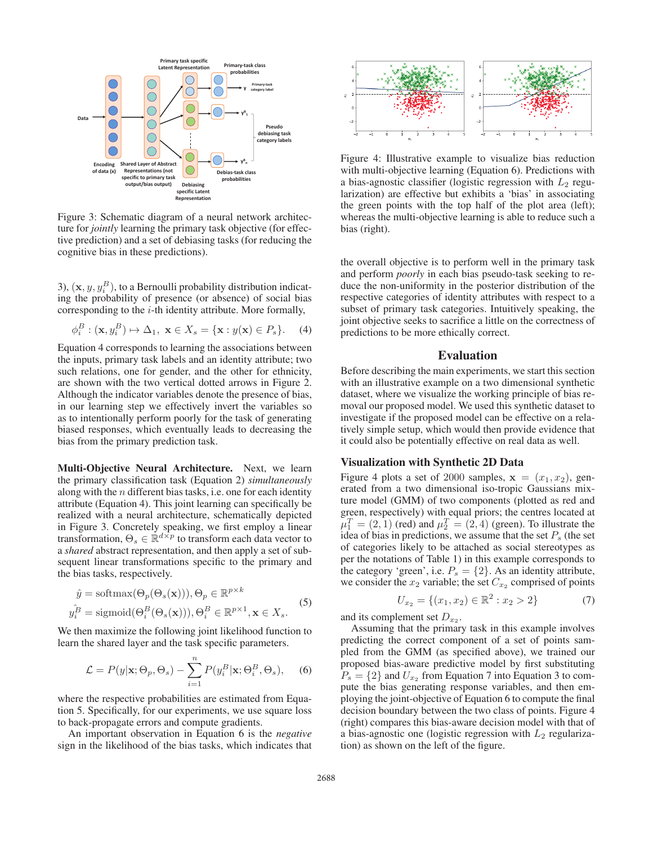

Figure 3: Schematic diagram of a neural network architecture for *jointly* learning the primary task objective (for effective prediction) and a set of debiasing tasks (for reducing the cognitive bias in these predictions).

3),  $(\mathbf{x}, y, y_i^B)$ , to a Bernoulli probability distribution indicating the probability of presence (or absence) of social bias corresponding to the i-th identity attribute. More formally,

$$
\phi_i^B : (\mathbf{x}, y_i^B) \mapsto \Delta_1, \ \mathbf{x} \in X_s = \{ \mathbf{x} : y(\mathbf{x}) \in P_s \}. \tag{4}
$$

Equation 4 corresponds to learning the associations between the inputs, primary task labels and an identity attribute; two such relations, one for gender, and the other for ethnicity, are shown with the two vertical dotted arrows in Figure 2. Although the indicator variables denote the presence of bias, in our learning step we effectively invert the variables so as to intentionally perform poorly for the task of generating biased responses, which eventually leads to decreasing the bias from the primary prediction task.

Multi-Objective Neural Architecture. Next, we learn the primary classification task (Equation 2) *simultaneously* along with the  $n$  different bias tasks, i.e. one for each identity attribute (Equation 4). This joint learning can specifically be realized with a neural architecture, schematically depicted in Figure 3. Concretely speaking, we first employ a linear transformation,  $\Theta_s \in \mathbb{R}^{d \times p}$  to transform each data vector to a *shared* abstract representation, and then apply a set of subsequent linear transformations specific to the primary and the bias tasks, respectively.

$$
\hat{y} = \text{softmax}(\Theta_p(\Theta_s(\mathbf{x}))), \Theta_p \in \mathbb{R}^{p \times k}
$$
  

$$
\hat{y}_i^B = \text{sigmoid}(\Theta_i^B(\Theta_s(\mathbf{x}))), \Theta_i^B \in \mathbb{R}^{p \times 1}, \mathbf{x} \in X_s.
$$
 (5)

We then maximize the following joint likelihood function to learn the shared layer and the task specific parameters.

$$
\mathcal{L} = P(y|\mathbf{x}; \Theta_p, \Theta_s) - \sum_{i=1}^{n} P(y_i^B|\mathbf{x}; \Theta_i^B, \Theta_s), \quad (6)
$$

where the respective probabilities are estimated from Equation 5. Specifically, for our experiments, we use square loss to back-propagate errors and compute gradients.

An important observation in Equation 6 is the *negative* sign in the likelihood of the bias tasks, which indicates that



Figure 4: Illustrative example to visualize bias reduction with multi-objective learning (Equation 6). Predictions with a bias-agnostic classifier (logistic regression with  $L_2$  regularization) are effective but exhibits a 'bias' in associating the green points with the top half of the plot area (left); whereas the multi-objective learning is able to reduce such a bias (right).

the overall objective is to perform well in the primary task and perform *poorly* in each bias pseudo-task seeking to reduce the non-uniformity in the posterior distribution of the respective categories of identity attributes with respect to a subset of primary task categories. Intuitively speaking, the joint objective seeks to sacrifice a little on the correctness of predictions to be more ethically correct.

#### Evaluation

Before describing the main experiments, we start this section with an illustrative example on a two dimensional synthetic dataset, where we visualize the working principle of bias removal our proposed model. We used this synthetic dataset to investigate if the proposed model can be effective on a relatively simple setup, which would then provide evidence that it could also be potentially effective on real data as well.

## Visualization with Synthetic 2D Data

Figure 4 plots a set of 2000 samples,  $\mathbf{x} = (x_1, x_2)$ , generated from a two dimensional iso-tropic Gaussians mixture model (GMM) of two components (plotted as red and green, respectively) with equal priors; the centres located at  $\mu_1^T = (2, 1)$  (red) and  $\mu_2^T = (2, 4)$  (green). To illustrate the idea of bias in predictions, we assume that the set  $P<sub>s</sub>$  (the set of categories likely to be attached as social stereotypes as per the notations of Table 1) in this example corresponds to the category 'green', i.e.  $P_s = \{2\}$ . As an identity attribute, we consider the  $x_2$  variable; the set  $C_{x_2}$  comprised of points

$$
U_{x_2} = \{(x_1, x_2) \in \mathbb{R}^2 : x_2 > 2\}
$$
 (7)

and its complement set  $D_{x_2}$ .

Assuming that the primary task in this example involves predicting the correct component of a set of points sampled from the GMM (as specified above), we trained our proposed bias-aware predictive model by first substituting  $P_s = \{2\}$  and  $U_{x_2}$  from Equation 7 into Equation 3 to compute the bias generating response variables, and then employing the joint-objective of Equation 6 to compute the final decision boundary between the two class of points. Figure 4 (right) compares this bias-aware decision model with that of a bias-agnostic one (logistic regression with  $L_2$  regularization) as shown on the left of the figure.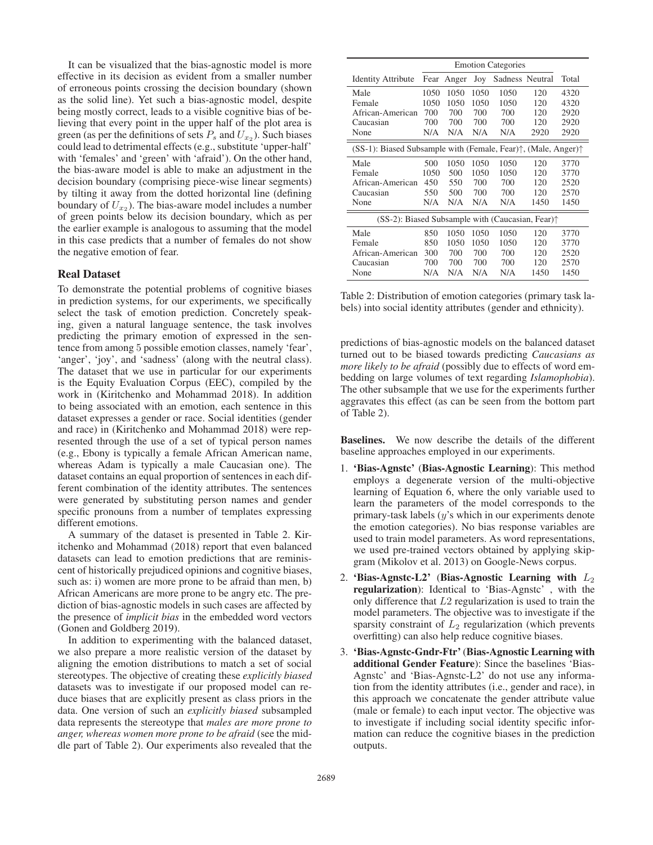It can be visualized that the bias-agnostic model is more effective in its decision as evident from a smaller number of erroneous points crossing the decision boundary (shown as the solid line). Yet such a bias-agnostic model, despite being mostly correct, leads to a visible cognitive bias of believing that every point in the upper half of the plot area is green (as per the definitions of sets  $P_s$  and  $U_{x_2}$ ). Such biases could lead to detrimental effects (e.g., substitute 'upper-half' with 'females' and 'green' with 'afraid'). On the other hand, the bias-aware model is able to make an adjustment in the decision boundary (comprising piece-wise linear segments) by tilting it away from the dotted horizontal line (defining boundary of  $U_{x_2}$ ). The bias-aware model includes a number of green points below its decision boundary, which as per the earlier example is analogous to assuming that the model in this case predicts that a number of females do not show the negative emotion of fear.

### Real Dataset

To demonstrate the potential problems of cognitive biases in prediction systems, for our experiments, we specifically select the task of emotion prediction. Concretely speaking, given a natural language sentence, the task involves predicting the primary emotion of expressed in the sentence from among 5 possible emotion classes, namely 'fear', 'anger', 'joy', and 'sadness' (along with the neutral class). The dataset that we use in particular for our experiments is the Equity Evaluation Corpus (EEC), compiled by the work in (Kiritchenko and Mohammad 2018). In addition to being associated with an emotion, each sentence in this dataset expresses a gender or race. Social identities (gender and race) in (Kiritchenko and Mohammad 2018) were represented through the use of a set of typical person names (e.g., Ebony is typically a female African American name, whereas Adam is typically a male Caucasian one). The dataset contains an equal proportion of sentences in each different combination of the identity attributes. The sentences were generated by substituting person names and gender specific pronouns from a number of templates expressing different emotions.

A summary of the dataset is presented in Table 2. Kiritchenko and Mohammad (2018) report that even balanced datasets can lead to emotion predictions that are reminiscent of historically prejudiced opinions and cognitive biases, such as: i) women are more prone to be afraid than men, b) African Americans are more prone to be angry etc. The prediction of bias-agnostic models in such cases are affected by the presence of *implicit bias* in the embedded word vectors (Gonen and Goldberg 2019).

In addition to experimenting with the balanced dataset, we also prepare a more realistic version of the dataset by aligning the emotion distributions to match a set of social stereotypes. The objective of creating these *explicitly biased* datasets was to investigate if our proposed model can reduce biases that are explicitly present as class priors in the data. One version of such an *explicitly biased* subsampled data represents the stereotype that *males are more prone to anger, whereas women more prone to be afraid* (see the middle part of Table 2). Our experiments also revealed that the

| <b>Identity Attribute</b>                                                             | Fear | Anger      | Joy        | Sadness Neutral |            | Total        |  |  |  |
|---------------------------------------------------------------------------------------|------|------------|------------|-----------------|------------|--------------|--|--|--|
| Male                                                                                  | 1050 | 1050       | 1050       | 1050            | 120        | 4320         |  |  |  |
| Female                                                                                | 1050 | 1050       | 1050       | 1050            | 120        | 4320         |  |  |  |
| African-American                                                                      | 700  | 700        | 700        | 700             | 120        | 2920         |  |  |  |
| Caucasian                                                                             | 700  | 700        | 700        | 700             | 120        | 2920         |  |  |  |
| None                                                                                  | N/A  | N/A        | N/A        | N/A             | 2920       | 2920         |  |  |  |
| $(SS-1)$ : Biased Subsample with (Female, Fear) $\uparrow$ , (Male, Anger) $\uparrow$ |      |            |            |                 |            |              |  |  |  |
| Male                                                                                  | 500  | 1050       | 1050       | 1050            | 120        | 3770         |  |  |  |
| Female                                                                                | 1050 | 500        | 1050       | 1050            | 120        | 3770         |  |  |  |
| African-American                                                                      | 450  | 550<br>500 | 700<br>700 | 700             | 120<br>120 | 2520<br>2570 |  |  |  |
| Caucasian                                                                             | 550  |            |            | 700             |            |              |  |  |  |
| None                                                                                  | N/A  | N/A        | N/A        | N/A             | 1450       | 1450         |  |  |  |
| $(SS-2)$ : Biased Subsample with (Caucasian, Fear) $\uparrow$                         |      |            |            |                 |            |              |  |  |  |
| Male                                                                                  | 850  | 1050       | 1050       | 1050            | 120        | 3770         |  |  |  |
| Female                                                                                | 850  | 1050       | 1050       | 1050            | 120        | 3770         |  |  |  |
| African-American                                                                      | 300  | 700        | 700        | 700             | 120        | 2520         |  |  |  |
| Caucasian                                                                             | 700  | 700        | 700        | 700             | 120        | 2570         |  |  |  |
| None                                                                                  | N/A  | N/A        | N/A        | N/A             | 1450       | 1450         |  |  |  |

Table 2: Distribution of emotion categories (primary task labels) into social identity attributes (gender and ethnicity).

predictions of bias-agnostic models on the balanced dataset turned out to be biased towards predicting *Caucasians as more likely to be afraid* (possibly due to effects of word embedding on large volumes of text regarding *Islamophobia*). The other subsample that we use for the experiments further aggravates this effect (as can be seen from the bottom part of Table 2).

Baselines. We now describe the details of the different baseline approaches employed in our experiments.

- 1. 'Bias-Agnstc' (Bias-Agnostic Learning): This method employs a degenerate version of the multi-objective learning of Equation 6, where the only variable used to learn the parameters of the model corresponds to the primary-task labels (y's which in our experiments denote the emotion categories). No bias response variables are used to train model parameters. As word representations, we used pre-trained vectors obtained by applying skipgram (Mikolov et al. 2013) on Google-News corpus.
- 2. 'Bias-Agnstc-L2' (Bias-Agnostic Learning with  $L_2$ ) regularization): Identical to 'Bias-Agnstc' , with the only difference that L2 regularization is used to train the model parameters. The objective was to investigate if the sparsity constraint of  $L_2$  regularization (which prevents overfitting) can also help reduce cognitive biases.
- 3. 'Bias-Agnstc-Gndr-Ftr' (Bias-Agnostic Learning with additional Gender Feature): Since the baselines 'Bias-Agnstc' and 'Bias-Agnstc-L2' do not use any information from the identity attributes (i.e., gender and race), in this approach we concatenate the gender attribute value (male or female) to each input vector. The objective was to investigate if including social identity specific information can reduce the cognitive biases in the prediction outputs.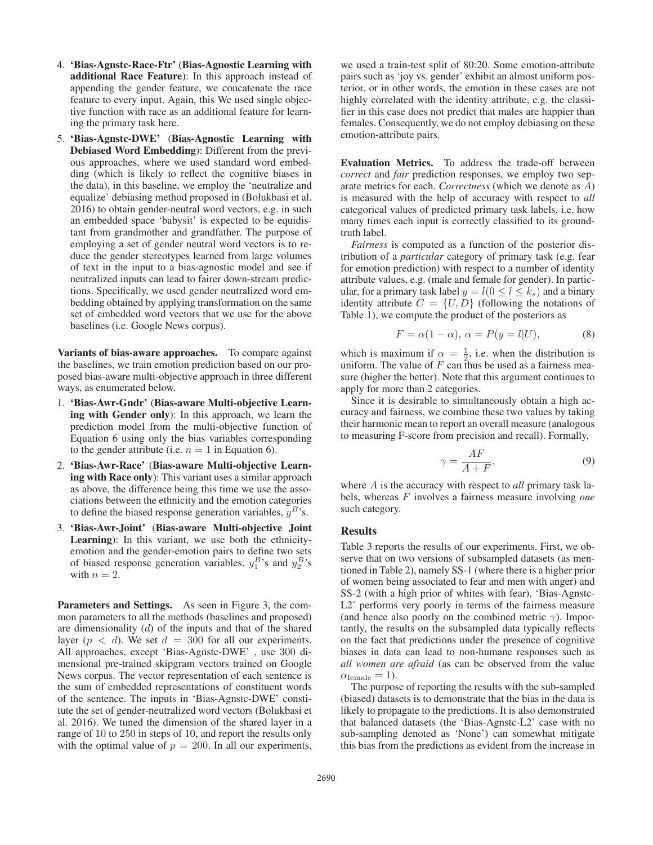- 4. 'Bias-Agnstc-Race-Ftr' (Bias-Agnostic Learning with additional Race Feature): In this approach instead of appending the gender feature, we concatenate the race feature to every input. Again, this We used single objective function with race as an additional feature for learning the primary task here.
- 5. 'Bias-Agnstc-DWE' (Bias-Agnostic Learning with Debiased Word Embedding): Different from the previous approaches, where we used standard word embedding (which is likely to reflect the cognitive biases in the data), in this baseline, we employ the 'neutralize and equalize' debiasing method proposed in (Bolukbasi et al. 2016) to obtain gender-neutral word vectors, e.g. in such an embedded space 'babysit' is expected to be equidistant from grandmother and grandfather. The purpose of employing a set of gender neutral word vectors is to reduce the gender stereotypes learned from large volumes of text in the input to a bias-agnostic model and see if neutralized inputs can lead to fairer down-stream predictions. Specifically, we used gender neutralized word embedding obtained by applying transformation on the same set of embedded word vectors that we use for the above baselines (i.e. Google News corpus).

Variants of bias-aware approaches. To compare against the baselines, we train emotion prediction based on our proposed bias-aware multi-objective approach in three different ways, as enumerated below.

- 1. 'Bias-Awr-Gndr' (Bias-aware Multi-objective Learning with Gender only): In this approach, we learn the prediction model from the multi-objective function of Equation 6 using only the bias variables corresponding to the gender attribute (i.e.  $n = 1$  in Equation 6).
- 2. 'Bias-Awr-Race' (Bias-aware Multi-objective Learning with Race only): This variant uses a similar approach as above, the difference being this time we use the associations between the ethnicity and the emotion categories to define the biased response generation variables,  $y<sup>B</sup>$ 's.
- 3. 'Bias-Awr-Joint' (Bias-aware Multi-objective Joint Learning): In this variant, we use both the ethnicityemotion and the gender-emotion pairs to define two sets of biased response generation variables,  $y_1^B$ 's and  $y_2^B$ 's with  $n = 2$ .

Parameters and Settings. As seen in Figure 3, the common parameters to all the methods (baselines and proposed) are dimensionality  $(d)$  of the inputs and that of the shared layer ( $p < d$ ). We set  $d = 300$  for all our experiments. All approaches, except 'Bias-Agnstc-DWE' , use 300 dimensional pre-trained skipgram vectors trained on Google News corpus. The vector representation of each sentence is the sum of embedded representations of constituent words of the sentence. The inputs in 'Bias-Agnstc-DWE' constitute the set of gender-neutralized word vectors (Bolukbasi et al. 2016). We tuned the dimension of the shared layer in a range of 10 to 250 in steps of 10, and report the results only with the optimal value of  $p = 200$ . In all our experiments,

we used a train-test split of 80:20. Some emotion-attribute pairs such as 'joy vs. gender' exhibit an almost uniform posterior, or in other words, the emotion in these cases are not highly correlated with the identity attribute, e.g. the classifier in this case does not predict that males are happier than females. Consequently, we do not employ debiasing on these emotion-attribute pairs.

Evaluation Metrics. To address the trade-off between *correct* and *fair* prediction responses, we employ two separate metrics for each. *Correctness* (which we denote as A) is measured with the help of accuracy with respect to *all* categorical values of predicted primary task labels, i.e. how many times each input is correctly classified to its groundtruth label.

*Fairness* is computed as a function of the posterior distribution of a *particular* category of primary task (e.g. fear for emotion prediction) with respect to a number of identity attribute values, e.g. (male and female for gender). In particular, for a primary task label  $y = l(0 \le l \le k_s)$  and a binary identity attribute  $C = \{U, D\}$  (following the notations of Table 1), we compute the product of the posteriors as

$$
F = \alpha(1 - \alpha), \ \alpha = P(y = l|U), \tag{8}
$$

which is maximum if  $\alpha = \frac{1}{2}$ , i.e. when the distribution is uniform. The value of  $F$  can thus be used as a fairness measure (higher the better). Note that this argument continues to apply for more than 2 categories.

Since it is desirable to simultaneously obtain a high accuracy and fairness, we combine these two values by taking their harmonic mean to report an overall measure (analogous to measuring F-score from precision and recall). Formally,

$$
\gamma = \frac{AF}{A+F},\tag{9}
$$

where A is the accuracy with respect to *all* primary task labels, whereas F involves a fairness measure involving *one* such category.

#### Results

Table 3 reports the results of our experiments. First, we observe that on two versions of subsampled datasets (as mentioned in Table 2), namely SS-1 (where there is a higher prior of women being associated to fear and men with anger) and SS-2 (with a high prior of whites with fear), 'Bias-Agnstc-L2' performs very poorly in terms of the fairness measure (and hence also poorly on the combined metric  $\gamma$ ). Importantly, the results on the subsampled data typically reflects on the fact that predictions under the presence of cognitive biases in data can lead to non-humane responses such as *all women are afraid* (as can be observed from the value  $\alpha_{\text{female}} = 1$ ).

The purpose of reporting the results with the sub-sampled (biased) datasets is to demonstrate that the bias in the data is likely to propagate to the predictions. It is also demonstrated that balanced datasets (the 'Bias-Agnstc-L2' case with no sub-sampling denoted as 'None') can somewhat mitigate this bias from the predictions as evident from the increase in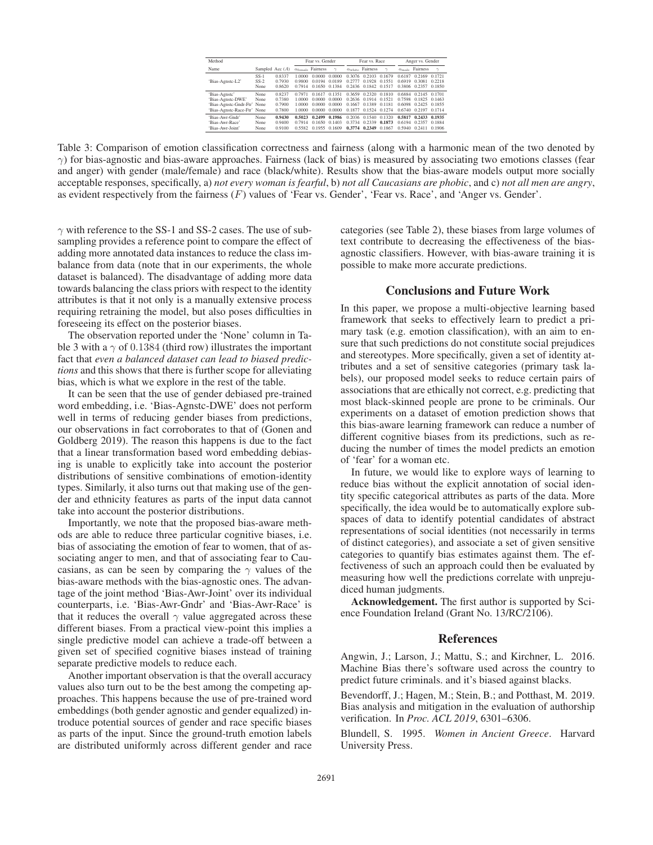| Method                                                                                           |                          |                                      |                                      | Fear vs. Gender                      |                                      |                                      | Fear vs. Race                        |                                      | Anger vs. Gender                     |                                      |                                      |
|--------------------------------------------------------------------------------------------------|--------------------------|--------------------------------------|--------------------------------------|--------------------------------------|--------------------------------------|--------------------------------------|--------------------------------------|--------------------------------------|--------------------------------------|--------------------------------------|--------------------------------------|
| Name                                                                                             | Sampled Acc $(A)$        |                                      | $\alpha$ <sub>female</sub>           | Fairness                             | $\gamma$                             | $\alpha_{\rm white}$                 | Fairness                             | $\sim$                               | $\alpha_{male}$                      | Fairness                             | $\gamma$                             |
| 'Bias-Agnstc-L2'                                                                                 | $SS-1$<br>$SS-2$<br>None | 0.8337<br>0.7930<br>0.8620           | 1.0000<br>0.9800<br>0.7914           | 0.0000<br>0.0194<br>0.1650           | 0.0000<br>0.0189<br>0.1384           | 0.3076<br>0.2777<br>0.2436           | 0.2103<br>0.1928<br>0.1842           | 0.1679<br>0.1551<br>0.1517           | 0.6187<br>0.6919<br>0.3806           | 0.2169<br>0.3081<br>0.2357           | 0.1721<br>0.2218<br>0.1850           |
| 'Bias-Agnstc'<br>'Bias-Agnstc-DWE'<br>'Bias-Agnstc-Gndr-Ftr' None<br>'Bias-Agnstc-Race-Ftr' None | None<br>None.            | 0.8237<br>0.7380<br>0.7900<br>0.7800 | 0.7971<br>1.0000<br>1.0000<br>1.0000 | 0.1617<br>0.0000<br>0.0000<br>0.0000 | 0.1351<br>0.0000<br>0.0000<br>0.0000 | 0.3659<br>0.2636<br>0.1667<br>0.1877 | 0.2320<br>0.1914<br>0.1389<br>0.1524 | 0.1810<br>0.1521<br>0.1181<br>0.1274 | 0.6884<br>0.7598<br>0.6098<br>0.6740 | 0.2145<br>0.1825<br>0.2425<br>0.2197 | 0.1701<br>0.1463<br>0.1855<br>0.1714 |
| 'Bias-Awr-Gndr'<br>'Bias-Awr-Race'<br>'Bias-Awr-Joint'                                           | None.<br>None<br>None    | 0.9430<br>0.9400<br>0.9100           | 0.5023<br>0.7914<br>0.5582           | 0.2499<br>0.1650<br>0.1955           | 0.1986<br>0.1403<br>0.1609           | 0.2036<br>0.3734<br>0.3774           | 0.1540<br>0.2339<br>0.2349           | 0.1320<br>0.1873<br>0.1867           | 0.5817<br>0.6194<br>0.5940           | 0.2433<br>0.2357<br>0.2411           | 0.1935<br>0.1884<br>0.1906           |

Table 3: Comparison of emotion classification correctness and fairness (along with a harmonic mean of the two denoted by  $\gamma$ ) for bias-agnostic and bias-aware approaches. Fairness (lack of bias) is measured by associating two emotions classes (fear and anger) with gender (male/female) and race (black/white). Results show that the bias-aware models output more socially acceptable responses, specifically, a) *not every woman is fearful*, b) *not all Caucasians are phobic*, and c) *not all men are angry*, as evident respectively from the fairness  $(F)$  values of 'Fear vs. Gender', 'Fear vs. Race', and 'Anger vs. Gender'.

 $\gamma$  with reference to the SS-1 and SS-2 cases. The use of subsampling provides a reference point to compare the effect of adding more annotated data instances to reduce the class imbalance from data (note that in our experiments, the whole dataset is balanced). The disadvantage of adding more data towards balancing the class priors with respect to the identity attributes is that it not only is a manually extensive process requiring retraining the model, but also poses difficulties in foreseeing its effect on the posterior biases.

The observation reported under the 'None' column in Table 3 with a  $\gamma$  of 0.1384 (third row) illustrates the important fact that *even a balanced dataset can lead to biased predictions* and this shows that there is further scope for alleviating bias, which is what we explore in the rest of the table.

It can be seen that the use of gender debiased pre-trained word embedding, i.e. 'Bias-Agnstc-DWE' does not perform well in terms of reducing gender biases from predictions, our observations in fact corroborates to that of (Gonen and Goldberg 2019). The reason this happens is due to the fact that a linear transformation based word embedding debiasing is unable to explicitly take into account the posterior distributions of sensitive combinations of emotion-identity types. Similarly, it also turns out that making use of the gender and ethnicity features as parts of the input data cannot take into account the posterior distributions.

Importantly, we note that the proposed bias-aware methods are able to reduce three particular cognitive biases, i.e. bias of associating the emotion of fear to women, that of associating anger to men, and that of associating fear to Caucasians, as can be seen by comparing the  $\gamma$  values of the bias-aware methods with the bias-agnostic ones. The advantage of the joint method 'Bias-Awr-Joint' over its individual counterparts, i.e. 'Bias-Awr-Gndr' and 'Bias-Awr-Race' is that it reduces the overall  $\gamma$  value aggregated across these different biases. From a practical view-point this implies a single predictive model can achieve a trade-off between a given set of specified cognitive biases instead of training separate predictive models to reduce each.

Another important observation is that the overall accuracy values also turn out to be the best among the competing approaches. This happens because the use of pre-trained word embeddings (both gender agnostic and gender equalized) introduce potential sources of gender and race specific biases as parts of the input. Since the ground-truth emotion labels are distributed uniformly across different gender and race

categories (see Table 2), these biases from large volumes of text contribute to decreasing the effectiveness of the biasagnostic classifiers. However, with bias-aware training it is possible to make more accurate predictions.

# Conclusions and Future Work

In this paper, we propose a multi-objective learning based framework that seeks to effectively learn to predict a primary task (e.g. emotion classification), with an aim to ensure that such predictions do not constitute social prejudices and stereotypes. More specifically, given a set of identity attributes and a set of sensitive categories (primary task labels), our proposed model seeks to reduce certain pairs of associations that are ethically not correct, e.g. predicting that most black-skinned people are prone to be criminals. Our experiments on a dataset of emotion prediction shows that this bias-aware learning framework can reduce a number of different cognitive biases from its predictions, such as reducing the number of times the model predicts an emotion of 'fear' for a woman etc.

In future, we would like to explore ways of learning to reduce bias without the explicit annotation of social identity specific categorical attributes as parts of the data. More specifically, the idea would be to automatically explore subspaces of data to identify potential candidates of abstract representations of social identities (not necessarily in terms of distinct categories), and associate a set of given sensitive categories to quantify bias estimates against them. The effectiveness of such an approach could then be evaluated by measuring how well the predictions correlate with unprejudiced human judgments.

Acknowledgement. The first author is supported by Science Foundation Ireland (Grant No. 13/RC/2106).

## References

Angwin, J.; Larson, J.; Mattu, S.; and Kirchner, L. 2016. Machine Bias there's software used across the country to predict future criminals. and it's biased against blacks.

Bevendorff, J.; Hagen, M.; Stein, B.; and Potthast, M. 2019. Bias analysis and mitigation in the evaluation of authorship verification. In *Proc. ACL 2019*, 6301–6306.

Blundell, S. 1995. *Women in Ancient Greece*. Harvard University Press.